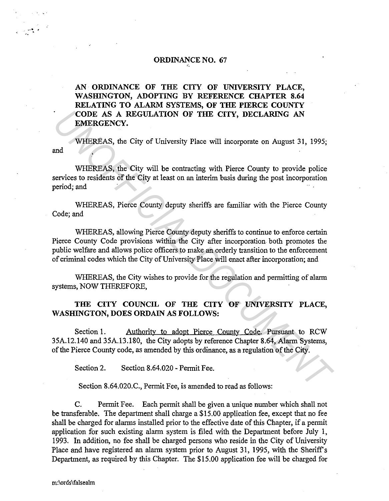#### ORDINANCE NO. 67 ,~

AN ORDINANCE OF THE CITY OF UNIVERSITY PLACE, WASHINGTON, ADOPTING BY REFERENCE CHAPTER 8.64 RELATING TO ALARM SYSTEMS, OF THE PIERCE COUNTY CODE AS A REGULATION OF THE CITY, DECLARING AN EMERGENCY.

and WHEREAS, the City of University Place will incorporate on August 31, 1995;

WHEREAS, the City will be contracting with Pierce County to provide police services to residents of the City at least on an interim basis during the post incorporation period; and

WHEREAS, Pierce County deputy sheriffs are familiar with the Pierce County Code; and

WHEREAS, allowing Pierce County deputy sheriffs to continue to enforce certain Pierce County Code provisions within the City after incorporation both promotes the public welfare and allows police officers to make an. orderly transition to the enforcement of criminal codes which the City of University Place will enact after incorporation; and **CODE AS A REGULATION OF THE CITY, DECLARING AN EMERGENCY.**<br>
WHEREAS, the City of University Place will incorporate on August 31, 1995;<br>
wHEREAS, the City of University Place will incorporate on August 31, 1995;<br>
wHEREAS,

WHEREAS, the City wishes to provide for the regulation and permitting of alarm systems, NOW THEREFORE,

## THE CITY COUNCIL OF THE CITY OF UNIVERSITY PLACE, WASHINGTON, DOES ORDAIN AS FOLLOWS:

Section 1. Authority to adopt Pierce County Code. Pursuant to RCW 35A.12.140 and 35A.13.180, the City adopts by reference Chapter 8.64, Alarm Systems, of the Pierce County code, as amended by this ordinance, as a regulation of the City.

Section 2. Section 8.64.020 - Permit Fee.

Section 8.64.020.C., Permit Fee, is amended to read as follows:

C. Permit Fee. Each permit shall be given a unique number which shall not be transferable. The department shall charge a \$15.00 application fee, except that no fee shall be charged for alarms installed prior to the effective date of this Chapter, if a permit application for such existing alarm system is filed with the Department before July 1, 1993. In addition, no fee shall be charged persons who reside in the City of University Place and have registered an alarm system prior to August 31, 1995, with the Sheriff's Department, as required by this Chapter. The \$15.00 application fee will be charged for

 $\mathcal{L}$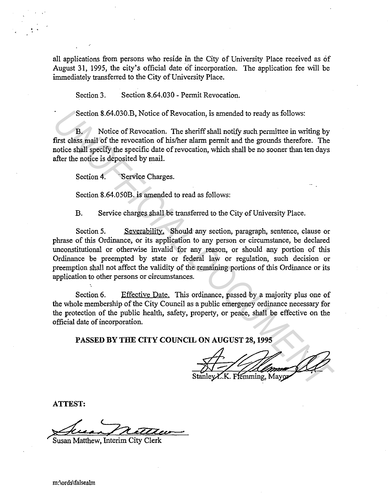all applications from persons who reside in the City of University Place received as of August 31, 1995, the city's official date of incorporation. The application fee will be immediately transferred to the City of University Place.

Section 3. Section 8.64.030 - Permit Revocation.

Section 8.64.030.B, Notice of Revocation, is amended to ready as follows:

B. Notice of Revocation. The sheriff shall notify such permittee in writing by first class mail of the revocation of his/her alarm permit and the grounds therefore. The notice shall specify the specific date of revocation, which shall be no sooner than ten days after the notice is deposited by mail.

Section 4. Service Charges.

Section 8.64.050B. is amended to read as follows:

B. Service charges shall be transferred to the City of University Place.

Section 5. Severability. Should any section, paragraph, sentence, clause or phrase of this Ordinance, or its application to any person or circumstance, be declared unconstitutional or otherwise invalid for any reason, or should any portion of this Ordinance be preempted by state or federal law or regulation, such decision or preemption shall not affect the validity of the remaining portions of this Ordinance or its application to other persons or circumstances. Section 8.64.030.B, Notice of Revocation, is amended to ready as follows:<br> **B.** Notice of Revocation. The sheriff shall notify such permittee in writing by<br>
first class mail of the revocation of his/her alarm permit and th

Section 6. Effective Date. This ordinance, passed by a majority plus one of the whole membership of the City Council as a public emergency ordinance necessary for the protection of the public health, safety, property, or peace, shall be effective on the official date of incorporation.

**PASSED BY THE CITY COUNCIL ON AUGUST 28, 1995** 

K. Flemming, Mayor.

**ATTEST:** 

~ .... ~ *;2au\_\_.* 

Susan Matthew, Interim City Clerk

m:\ords\falsealrn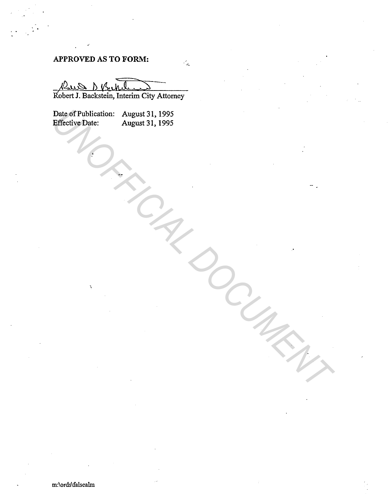# **APPROVED AS TO FORM:**

Robert J. Backstein, Interim City Attorney

 $\mathbb{Z}$ 

Date of Publication: August 31, 1995 Effective Date: August 31, 1995 Patective Date: August 31, 1995<br> **Effective Date:** August 31, 1995<br>
Angles 31, 1995<br>
Angles 31, 1995<br>
Angles 31, 1995<br>
Angles 31, 1995<br>
Angles 31, 1995<br>
Angles 31, 1995<br>
Angles 31, 1995<br>
Angles 31, 1995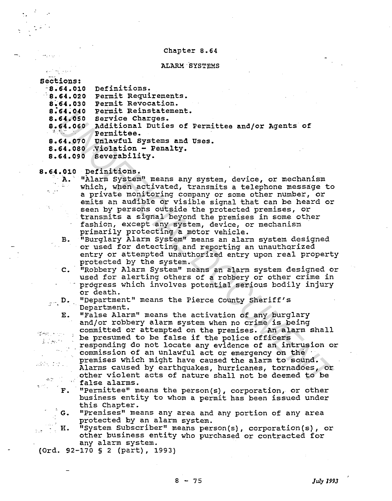#### Chapter B.64

### ALARM·SYSTEMS

| Sections:                                           |                                                            |
|-----------------------------------------------------|------------------------------------------------------------|
| 8.64.010                                            | Definitions.                                               |
| 8.64.020                                            | Permit Requirements.                                       |
| 8.64.030                                            | Permit Revocation.                                         |
| 8.64.040                                            | Permit Reinstatement.                                      |
| 8.64.050                                            | Service Charges.                                           |
|                                                     | 8.64.060 Additional Duties of Permittee and/or Agents of   |
|                                                     | Permittee.                                                 |
|                                                     | 8.64.070 Unlawful Systems and Uses.                        |
|                                                     | 8.64.080 Violation - Penalty.                              |
| 8.64.090                                            | Severability.                                              |
|                                                     |                                                            |
|                                                     | 8.64.010 Definitions.                                      |
|                                                     | " A. "Alarm System" means any system, device, or mechanism |
|                                                     | which, when activated, transmits a telephone message to    |
|                                                     | a private monitoring company or some other number, or      |
|                                                     | emits an audible or visible signal that can be heard or    |
|                                                     | seen by persons outside the protected premises, or         |
|                                                     | transmits a signal beyond the premises in some other       |
|                                                     | fashion, except any system, device, or mechanism           |
|                                                     | primarily protecting a motor vehicle.                      |
| в.                                                  | "Burglary Alarm System" means an alarm system designed     |
|                                                     | or used for detecting and reporting an unauthorized        |
|                                                     | entry or attempted unauthorized entry upon real property   |
|                                                     | protected by the system.                                   |
| $\mathbf{c}$ .                                      | "Robbery Alarm System" means an alarm system designed or   |
|                                                     | used for alerting others of a robbery or other crime in    |
|                                                     | progress which involves potential serious bodily injury    |
|                                                     | or death.                                                  |
| $\mathbf{p} = \mathbf{D}$ .                         | "Department" means the Pierce County Sheriff's             |
|                                                     | Department.                                                |
| $E_{\bullet}$                                       | "False Alarm" means the activation of any burglary         |
|                                                     | and/or robbery alarm system when no crime is being         |
|                                                     | committed or attempted on the premises. An alarm shall     |
|                                                     | be presumed to be false if the police officers             |
|                                                     | responding do not locate any evidence of an intrusion or   |
|                                                     | commission of an unlawful act or emergency on the          |
|                                                     | premises which might have caused the alarm to sound.       |
| $\mathcal{L}(\mathcal{A})=\mathcal{L}(\mathcal{A})$ | Alarms caused by earthquakes, hurricanes, tornadoes, or    |
|                                                     | other violent acts of nature shall not be deemed to be     |
| $\mathcal{L}(\mathcal{M})$                          | false alarms.                                              |
|                                                     |                                                            |

## p. D. "Department" means the Pierce County Sheriff's Department.

F. "Permittee" means the person{s), corporation, or other business entity to whom a permit has been issued under this Chapter.

G. "Premises" means any area and any portion of any area protected by an alarm system.

H. "System subscriber" means person{s), corporation(s), or other business entity who purchased or contracted for any alarm system.

(Ord. 92-170 § 2 (part), 1993)

متوعا أبحاثير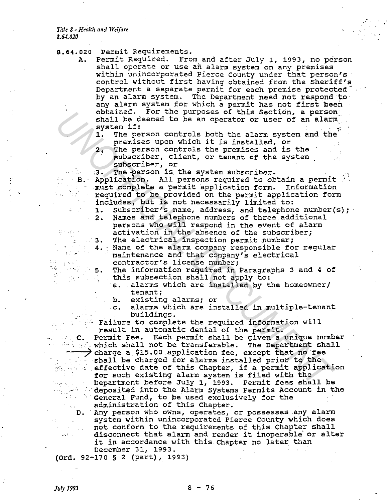- 8.64.020 Permit Requirements.
	- A. Permit Required. From and after July 1, 1993, no person shall operate or use an alarm system on any premises within unincorporated Pierce County under that person's control without first having obtained from the Sheriff's Department a separate permit for each premise protected<sup>-</sup> by an alarm system. The Department need not respond to any alarm system for which a permit has not first been obtained. For the purposes of this Section, a person shall be deemed to be an operator or user of an alarm shall be deemed to be an operator of user of an ararmy system if:<br>1. The person controls both the alarm system and the
		- premises upon which it is installed, or
		- 2; The person controls the premises and is the subscriber, client, or tenant of the system subscriber, or
			-

**8. Indeperson is the system subscriber.**<br>B. Application. All persons required to ob Application. All persons required to obtain a permit .must complete a permit application form. Information required to be provided on the permit application form includes, but is not necessarily limited to:

- 
- 1. Subscriber's name, address, and telephone number(s); Names and telephone numbers of three additional persons who will respond in the event of alarm activation in the absence of the subscriber; 3. The electrical inspection permit number;
- 4. Name of the alarm company responsible for regular maintenance and that company's electrical contractor's license number;
- 5. The information required in Paragraphs 3 and 4 of this subsection shall not apply to:
	- a. alarms which are installed by the homeowner/ tenant;
	- b. existing alarms; or
	- c. alarms which are installed in multiple-tenant buildings.

<sup>p</sup>**Failure to complete the required information will**  result in automatic denial of the permit.

c. Permit Fee. Each permit shall be given a unique number . *:* which shall not be transferable. The Department shall  $\rightarrow$  charge a \$15.00 application fee, except that no fee shall be charged for alarms installed prior to the *"·: .* .. , . effective date of this Chapter, if a permit application for such existing alarm system is filed with the<br>Department before July 1, 1993. Permit fees shall Department before July l, 1993. Permit fees shall be deposited into the Alarm systems Permits Account in the General Fund, to be used exclusively for the administration of this Chapter. chained. For the purposes of this Section, a person control and the deamed to be an operator or user of a nalar<br>signarii. The person controls both the alarm system and the<br>interaction controls both it is installed, or<br>the

D. Any person who owns, operates, or possesses any alarm system within unincorporated Pierce county which does not conform to the requirements of this Chapter shall disconnect that alarm and render it inoperable· or alter it in accordance with this Chapter no later than December 31, 1993.

(Ord. 92-170 § 2 (part), 1993)

. .  $\mathbb{R}^2$ 

- 50

 $\sim$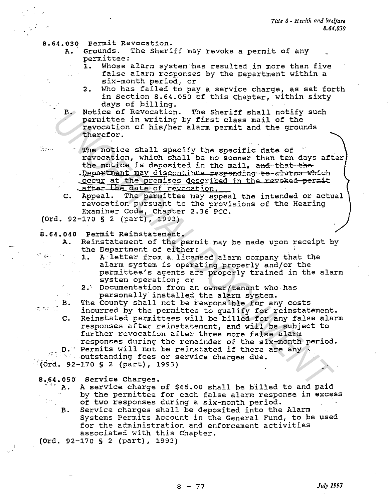- 8.64.030 Permit Revocation.
	- A. Grounds. The Sheriff may revoke a permit of any permittee:
		- 1. Whose alarm system has resulted in more than five false alarm responses by the Department within a six-month period, or
		- 2. Who has failed to pay a service charge, as set forth in Section 8.64.050 of this Chapter, within sixty days of billing.

B. Notice of Revocation. The Sheriff shall notify such permittee in writing by first class mail of the revocation of his/her alarm permit and the grounds ·therefor •

**Example 20 The notice shall specify the specific date of** revocation, which shall be no sooner than ten days after the notice is deposited in the mail, and that the **Department may discontinue responding to alarms which \_occur at the premises described in the revoked permit** . after the date of revocation.

c. Appeal. The permittee may appeal the intended or actual revocation pursuant to the provisions of the Hearing Examiner Code, Chapter 2.36 PCC.

(Ord. 92-170 § 2 (part), 1993)

8.64.040 Permit Reinstatement.

A. Reinstatement of the permit.may be made upon receipt by the Department of either:

- 1. A letter from a licensed alarm company that the alarm system is operating properly and/or the permittee's agents are properly trained in the alarm system operation; or
- 2.; Documentation from an owner/tenant who has personally installed the alarm system.

personally installed the alarm system.<br>B. The County shall not be responsible for any costs<br>incurred by the permittee to curlising incurred by the permittee to qualify for reinstatement. c. Reinstated permittees will be billed for any false alarm responses after reinstatement, and will be subject to further revocation after three more false alarm responses during the remainder of the six-month period. B. Notice of Revocation. The Sheriff shall notify such permittee in writing by first class mail of the revocation of his/her alarm permit and the grounds theoretor. The notice shall specify the specific date of revocation,

D. Permits will not be reinstated if there are any ...

'(Ord. 92-170 § 2 (part), 1993)

- 8.64.050 Service Charges.<br>A. A service charge of \$65.00 shall be billed to and paid<br>by the permittee for each false alarm response in exces by the permittee for each false alarm response in excess of two responses during a six-month period.
	- B. Service charges shall be deposited into the Alarm Systems Permits Account in the General Fund, to be used for the administration and enforcement activities associated with this Chapter.

(Ord. 92-170 § 2 (part), 1993)